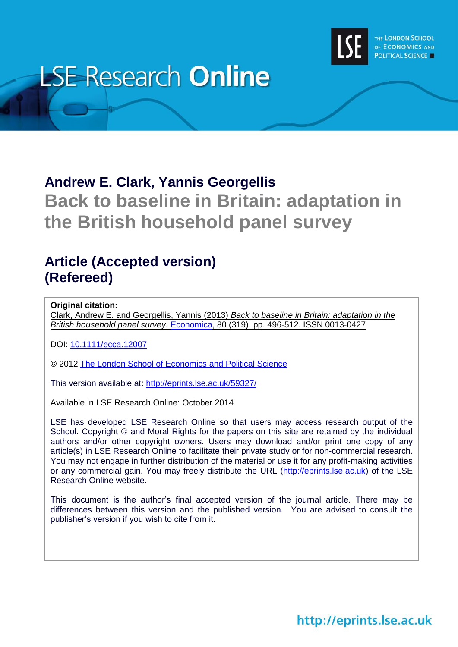

# **LSE Research Online**

# **Andrew E. Clark, Yannis Georgellis Back to baseline in Britain: adaptation in the British household panel survey**

## **Article (Accepted version) (Refereed)**

#### **Original citation:**

Clark, Andrew E. and Georgellis, Yannis (2013) *Back to baseline in Britain: adaptation in the British household panel survey.* [Economica,](http://onlinelibrary.wiley.com/journal/10.1111/(ISSN)1468-0335) 80 (319). pp. 496-512. ISSN 0013-0427

DOI: [10.1111/ecca.12007](http://dx.doi.org/10.1111/ecca.12007)

© 2012 [The London School of Economics and Political Science](http://www.lse.ac.uk/)

This version available at:<http://eprints.lse.ac.uk/59327/>

Available in LSE Research Online: October 2014

LSE has developed LSE Research Online so that users may access research output of the School. Copyright © and Moral Rights for the papers on this site are retained by the individual authors and/or other copyright owners. Users may download and/or print one copy of any article(s) in LSE Research Online to facilitate their private study or for non-commercial research. You may not engage in further distribution of the material or use it for any profit-making activities or any commercial gain. You may freely distribute the URL (http://eprints.lse.ac.uk) of the LSE Research Online website.

This document is the author's final accepted version of the journal article. There may be differences between this version and the published version. You are advised to consult the publisher's version if you wish to cite from it.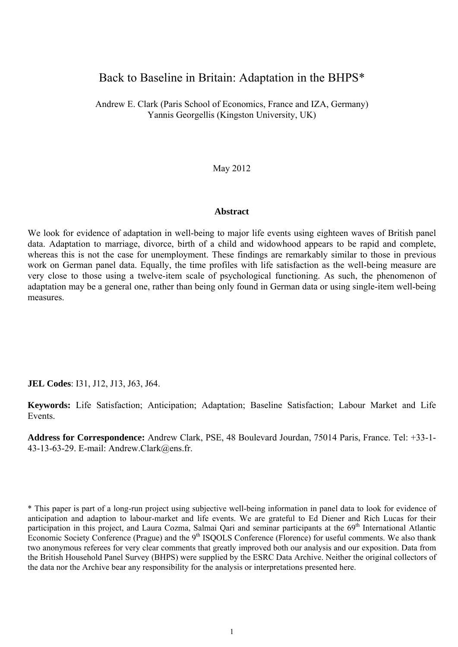## Back to Baseline in Britain: Adaptation in the BHPS\*

Andrew E. Clark (Paris School of Economics, France and IZA, Germany) Yannis Georgellis (Kingston University, UK)

May 2012

#### **Abstract**

We look for evidence of adaptation in well-being to major life events using eighteen waves of British panel data. Adaptation to marriage, divorce, birth of a child and widowhood appears to be rapid and complete, whereas this is not the case for unemployment. These findings are remarkably similar to those in previous work on German panel data. Equally, the time profiles with life satisfaction as the well-being measure are very close to those using a twelve-item scale of psychological functioning. As such, the phenomenon of adaptation may be a general one, rather than being only found in German data or using single-item well-being measures.

**JEL Codes**: I31, J12, J13, J63, J64.

**Keywords:** Life Satisfaction; Anticipation; Adaptation; Baseline Satisfaction; Labour Market and Life Events.

**Address for Correspondence:** Andrew Clark, PSE, 48 Boulevard Jourdan, 75014 Paris, France. Tel: +33-1- 43-13-63-29. E-mail: Andrew.Clark@ens.fr.

<sup>\*</sup> This paper is part of a long-run project using subjective well-being information in panel data to look for evidence of anticipation and adaption to labour-market and life events. We are grateful to Ed Diener and Rich Lucas for their participation in this project, and Laura Cozma, Salmai Qari and seminar participants at the 69<sup>th</sup> International Atlantic Economic Society Conference (Prague) and the 9<sup>th</sup> ISQOLS Conference (Florence) for useful comments. We also thank two anonymous referees for very clear comments that greatly improved both our analysis and our exposition. Data from the British Household Panel Survey (BHPS) were supplied by the ESRC Data Archive. Neither the original collectors of the data nor the Archive bear any responsibility for the analysis or interpretations presented here.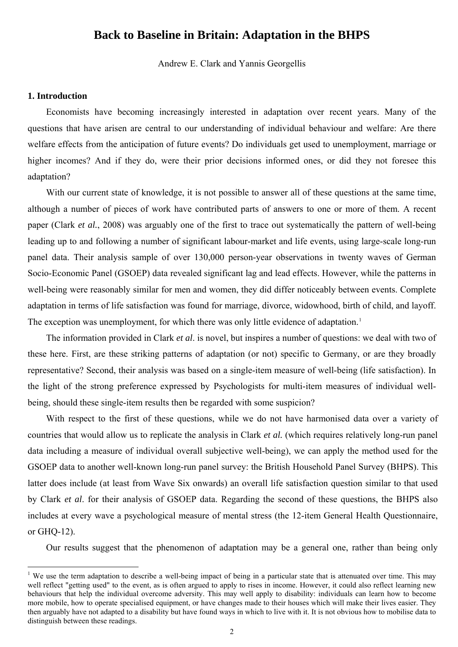### **Back to Baseline in Britain: Adaptation in the BHPS**

Andrew E. Clark and Yannis Georgellis

#### **1. Introduction**

<u>.</u>

Economists have becoming increasingly interested in adaptation over recent years. Many of the questions that have arisen are central to our understanding of individual behaviour and welfare: Are there welfare effects from the anticipation of future events? Do individuals get used to unemployment, marriage or higher incomes? And if they do, were their prior decisions informed ones, or did they not foresee this adaptation?

With our current state of knowledge, it is not possible to answer all of these questions at the same time, although a number of pieces of work have contributed parts of answers to one or more of them. A recent paper (Clark *et al.*, 2008) was arguably one of the first to trace out systematically the pattern of well-being leading up to and following a number of significant labour-market and life events, using large-scale long-run panel data. Their analysis sample of over 130,000 person-year observations in twenty waves of German Socio-Economic Panel (GSOEP) data revealed significant lag and lead effects. However, while the patterns in well-being were reasonably similar for men and women, they did differ noticeably between events. Complete adaptation in terms of life satisfaction was found for marriage, divorce, widowhood, birth of child, and layoff. The exception was unemployment, for which there was only little evidence of adaptation.<sup>[1](#page-2-0)</sup>

The information provided in Clark *et al*. is novel, but inspires a number of questions: we deal with two of these here. First, are these striking patterns of adaptation (or not) specific to Germany, or are they broadly representative? Second, their analysis was based on a single-item measure of well-being (life satisfaction). In the light of the strong preference expressed by Psychologists for multi-item measures of individual wellbeing, should these single-item results then be regarded with some suspicion?

With respect to the first of these questions, while we do not have harmonised data over a variety of countries that would allow us to replicate the analysis in Clark *et al.* (which requires relatively long-run panel data including a measure of individual overall subjective well-being), we can apply the method used for the GSOEP data to another well-known long-run panel survey: the British Household Panel Survey (BHPS). This latter does include (at least from Wave Six onwards) an overall life satisfaction question similar to that used by Clark *et al*. for their analysis of GSOEP data. Regarding the second of these questions, the BHPS also includes at every wave a psychological measure of mental stress (the 12-item General Health Questionnaire, or GHQ-12).

Our results suggest that the phenomenon of adaptation may be a general one, rather than being only

<span id="page-2-0"></span><sup>&</sup>lt;sup>1</sup> We use the term adaptation to describe a well-being impact of being in a particular state that is attenuated over time. This may well reflect "getting used" to the event, as is often argued to apply to rises in income. However, it could also reflect learning new behaviours that help the individual overcome adversity. This may well apply to disability: individuals can learn how to become more mobile, how to operate specialised equipment, or have changes made to their houses which will make their lives easier. They then arguably have not adapted to a disability but have found ways in which to live with it. It is not obvious how to mobilise data to distinguish between these readings.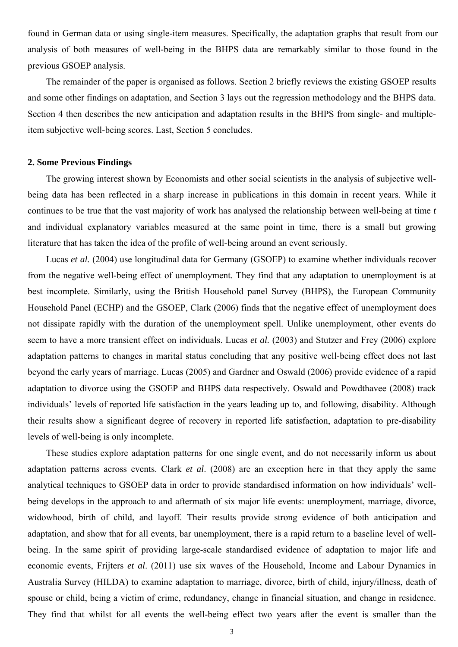found in German data or using single-item measures. Specifically, the adaptation graphs that result from our analysis of both measures of well-being in the BHPS data are remarkably similar to those found in the previous GSOEP analysis.

The remainder of the paper is organised as follows. Section 2 briefly reviews the existing GSOEP results and some other findings on adaptation, and Section 3 lays out the regression methodology and the BHPS data. Section 4 then describes the new anticipation and adaptation results in the BHPS from single- and multipleitem subjective well-being scores. Last, Section 5 concludes.

#### **2. Some Previous Findings**

The growing interest shown by Economists and other social scientists in the analysis of subjective wellbeing data has been reflected in a sharp increase in publications in this domain in recent years. While it continues to be true that the vast majority of work has analysed the relationship between well-being at time *t* and individual explanatory variables measured at the same point in time, there is a small but growing literature that has taken the idea of the profile of well-being around an event seriously.

Lucas *et al.* (2004) use longitudinal data for Germany (GSOEP) to examine whether individuals recover from the negative well-being effect of unemployment. They find that any adaptation to unemployment is at best incomplete. Similarly, using the British Household panel Survey (BHPS), the European Community Household Panel (ECHP) and the GSOEP, Clark (2006) finds that the negative effect of unemployment does not dissipate rapidly with the duration of the unemployment spell. Unlike unemployment, other events do seem to have a more transient effect on individuals. Lucas *et al.* (2003) and Stutzer and Frey (2006) explore adaptation patterns to changes in marital status concluding that any positive well-being effect does not last beyond the early years of marriage. Lucas (2005) and Gardner and Oswald (2006) provide evidence of a rapid adaptation to divorce using the GSOEP and BHPS data respectively. Oswald and Powdthavee (2008) track individuals' levels of reported life satisfaction in the years leading up to, and following, disability. Although their results show a significant degree of recovery in reported life satisfaction, adaptation to pre-disability levels of well-being is only incomplete.

These studies explore adaptation patterns for one single event, and do not necessarily inform us about adaptation patterns across events. Clark *et al*. (2008) are an exception here in that they apply the same analytical techniques to GSOEP data in order to provide standardised information on how individuals' wellbeing develops in the approach to and aftermath of six major life events: unemployment, marriage, divorce, widowhood, birth of child, and layoff. Their results provide strong evidence of both anticipation and adaptation, and show that for all events, bar unemployment, there is a rapid return to a baseline level of wellbeing. In the same spirit of providing large-scale standardised evidence of adaptation to major life and economic events, Frijters *et al*. (2011) use six waves of the Household, Income and Labour Dynamics in Australia Survey (HILDA) to examine adaptation to marriage, divorce, birth of child, injury/illness, death of spouse or child, being a victim of crime, redundancy, change in financial situation, and change in residence. They find that whilst for all events the well-being effect two years after the event is smaller than the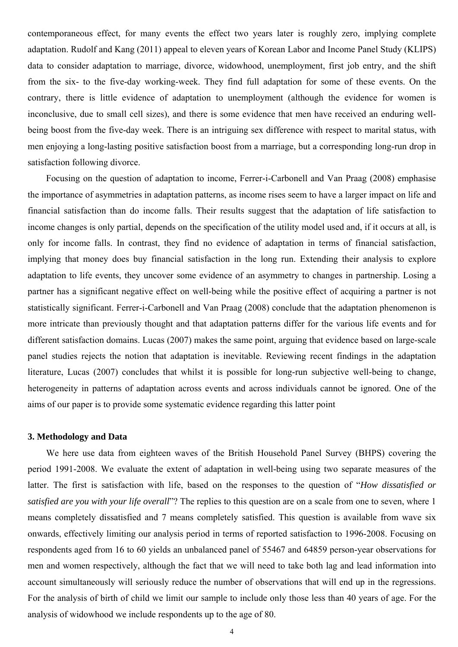contemporaneous effect, for many events the effect two years later is roughly zero, implying complete adaptation. Rudolf and Kang (2011) appeal to eleven years of Korean Labor and Income Panel Study (KLIPS) data to consider adaptation to marriage, divorce, widowhood, unemployment, first job entry, and the shift from the six- to the five-day working-week. They find full adaptation for some of these events. On the contrary, there is little evidence of adaptation to unemployment (although the evidence for women is inconclusive, due to small cell sizes), and there is some evidence that men have received an enduring wellbeing boost from the five-day week. There is an intriguing sex difference with respect to marital status, with men enjoying a long-lasting positive satisfaction boost from a marriage, but a corresponding long-run drop in satisfaction following divorce.

Focusing on the question of adaptation to income, Ferrer-i-Carbonell and Van Praag (2008) emphasise the importance of asymmetries in adaptation patterns, as income rises seem to have a larger impact on life and financial satisfaction than do income falls. Their results suggest that the adaptation of life satisfaction to income changes is only partial, depends on the specification of the utility model used and, if it occurs at all, is only for income falls. In contrast, they find no evidence of adaptation in terms of financial satisfaction, implying that money does buy financial satisfaction in the long run. Extending their analysis to explore adaptation to life events, they uncover some evidence of an asymmetry to changes in partnership. Losing a partner has a significant negative effect on well-being while the positive effect of acquiring a partner is not statistically significant. Ferrer-i-Carbonell and Van Praag (2008) conclude that the adaptation phenomenon is more intricate than previously thought and that adaptation patterns differ for the various life events and for different satisfaction domains. Lucas (2007) makes the same point, arguing that evidence based on large-scale panel studies rejects the notion that adaptation is inevitable. Reviewing recent findings in the adaptation literature, Lucas (2007) concludes that whilst it is possible for long-run subjective well-being to change, heterogeneity in patterns of adaptation across events and across individuals cannot be ignored. One of the aims of our paper is to provide some systematic evidence regarding this latter point

#### **3. Methodology and Data**

We here use data from eighteen waves of the British Household Panel Survey (BHPS) covering the period 1991-2008. We evaluate the extent of adaptation in well-being using two separate measures of the latter. The first is satisfaction with life, based on the responses to the question of "*How dissatisfied or satisfied are you with your life overall*"? The replies to this question are on a scale from one to seven, where 1 means completely dissatisfied and 7 means completely satisfied. This question is available from wave six onwards, effectively limiting our analysis period in terms of reported satisfaction to 1996-2008. Focusing on respondents aged from 16 to 60 yields an unbalanced panel of 55467 and 64859 person-year observations for men and women respectively, although the fact that we will need to take both lag and lead information into account simultaneously will seriously reduce the number of observations that will end up in the regressions. For the analysis of birth of child we limit our sample to include only those less than 40 years of age. For the analysis of widowhood we include respondents up to the age of 80.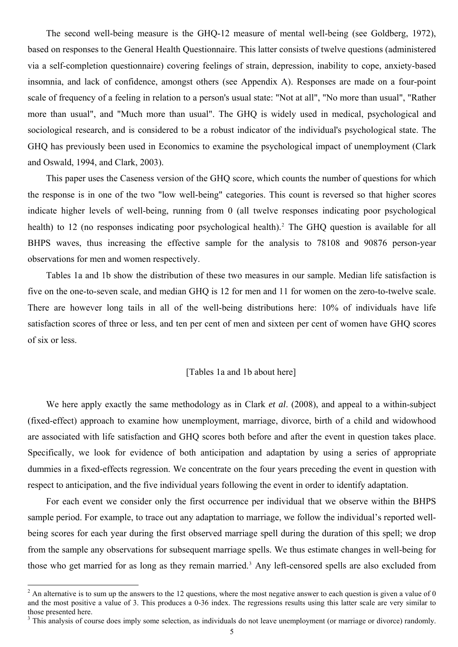The second well-being measure is the GHQ-12 measure of mental well-being (see Goldberg, 1972), based on responses to the General Health Questionnaire. This latter consists of twelve questions (administered via a self-completion questionnaire) covering feelings of strain, depression, inability to cope, anxiety-based insomnia, and lack of confidence, amongst others (see Appendix A). Responses are made on a four-point scale of frequency of a feeling in relation to a person's usual state: "Not at all", "No more than usual", "Rather more than usual", and "Much more than usual". The GHQ is widely used in medical, psychological and sociological research, and is considered to be a robust indicator of the individual's psychological state. The GHQ has previously been used in Economics to examine the psychological impact of unemployment (Clark and Oswald, 1994, and Clark, 2003).

This paper uses the Caseness version of the GHQ score, which counts the number of questions for which the response is in one of the two "low well-being" categories. This count is reversed so that higher scores indicate higher levels of well-being, running from 0 (all twelve responses indicating poor psychological health) to 1[2](#page-5-0) (no responses indicating poor psychological health).<sup>2</sup> The GHQ question is available for all BHPS waves, thus increasing the effective sample for the analysis to 78108 and 90876 person-year observations for men and women respectively.

Tables 1a and 1b show the distribution of these two measures in our sample. Median life satisfaction is five on the one-to-seven scale, and median GHQ is 12 for men and 11 for women on the zero-to-twelve scale. There are however long tails in all of the well-being distributions here: 10% of individuals have life satisfaction scores of three or less, and ten per cent of men and sixteen per cent of women have GHQ scores of six or less.

#### [Tables 1a and 1b about here]

We here apply exactly the same methodology as in Clark *et al*. (2008), and appeal to a within-subject (fixed-effect) approach to examine how unemployment, marriage, divorce, birth of a child and widowhood are associated with life satisfaction and GHQ scores both before and after the event in question takes place. Specifically, we look for evidence of both anticipation and adaptation by using a series of appropriate dummies in a fixed-effects regression. We concentrate on the four years preceding the event in question with respect to anticipation, and the five individual years following the event in order to identify adaptation.

For each event we consider only the first occurrence per individual that we observe within the BHPS sample period. For example, to trace out any adaptation to marriage, we follow the individual's reported wellbeing scores for each year during the first observed marriage spell during the duration of this spell; we drop from the sample any observations for subsequent marriage spells. We thus estimate changes in well-being for those who get married for as long as they remain married.<sup>[3](#page-5-1)</sup> Any left-censored spells are also excluded from

1

<span id="page-5-0"></span> $2 \text{ An alternative is to sum up the answers to the 12 questions, where the most negative answer to each question is given a value of 0.}$ and the most positive a value of 3. This produces a 0-36 index. The regressions results using this latter scale are very similar to those presented here.

<span id="page-5-1"></span><sup>&</sup>lt;sup>3</sup> This analysis of course does imply some selection, as individuals do not leave unemployment (or marriage or divorce) randomly.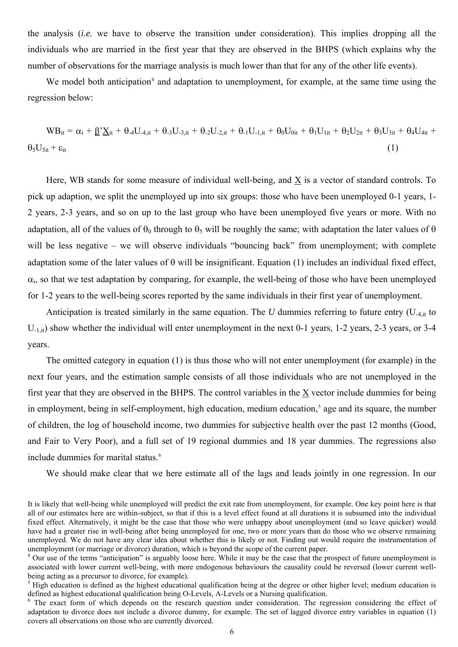the analysis (*i.e.* we have to observe the transition under consideration). This implies dropping all the individuals who are married in the first year that they are observed in the BHPS (which explains why the number of observations for the marriage analysis is much lower than that for any of the other life events).

We model both anticipation<sup>[4](#page-6-0)</sup> and adaptation to unemployment, for example, at the same time using the regression below:

 $WB_{it} = \alpha_i + \underline{\beta'}\underline{X}_{it} + \theta_{-4}U_{-4,it} + \theta_{-3}U_{-3,it} + \theta_{-2}U_{-2,it} + \theta_{-1}U_{-1,it} + \theta_0U_{0it} + \theta_1U_{1it} + \theta_2U_{2it} + \theta_3U_{3it} + \theta_4U_{4it} + \theta_5U_{-4,it} + \theta_6U_{-4,it} + \theta_7U_{-4,it} + \theta_8U_{-4,it} + \theta_9U_{-3,it} + \theta_9U_{-3,it} + \theta_9U_{-4,it} + \theta_9U_{-4$  $\theta_5 U_{5it} + \varepsilon_{it}$  (1)

Here, WB stands for some measure of individual well-being, and X is a vector of standard controls. To pick up adaption, we split the unemployed up into six groups: those who have been unemployed 0-1 years, 1- 2 years, 2-3 years, and so on up to the last group who have been unemployed five years or more. With no adaptation, all of the values of  $\theta_0$  through to  $\theta_5$  will be roughly the same; with adaptation the later values of  $\theta$ will be less negative – we will observe individuals "bouncing back" from unemployment; with complete adaptation some of the later values of  $\theta$  will be insignificant. Equation (1) includes an individual fixed effect,  $\alpha_i$ , so that we test adaptation by comparing, for example, the well-being of those who have been unemployed for 1-2 years to the well-being scores reported by the same individuals in their first year of unemployment.

Anticipation is treated similarly in the same equation. The  $U$  dummies referring to future entry  $(U_{4,i}$  to  $U_{-1,i}$ ) show whether the individual will enter unemployment in the next 0-1 years, 1-2 years, 2-3 years, or 3-4 years.

The omitted category in equation (1) is thus those who will not enter unemployment (for example) in the next four years, and the estimation sample consists of all those individuals who are not unemployed in the first year that they are observed in the BHPS. The control variables in the X vector include dummies for being in employment, being in self-employment, high education, medium education,<sup>[5](#page-6-1)</sup> age and its square, the number of children, the log of household income, two dummies for subjective health over the past 12 months (Good, and Fair to Very Poor), and a full set of 19 regional dummies and 18 year dummies. The regressions also include dummies for marital status.<sup>[6](#page-6-2)</sup>

We should make clear that we here estimate all of the lags and leads jointly in one regression. In our

It is likely that well-being while unemployed will predict the exit rate from unemployment, for example. One key point here is that all of our estimates here are within-subject, so that if this is a level effect found at all durations it is subsumed into the individual fixed effect. Alternatively, it might be the case that those who were unhappy about unemployment (and so leave quicker) would have had a greater rise in well-being after being unemployed for one, two or more years than do those who we observe remaining unemployed. We do not have any clear idea about whether this is likely or not. Finding out would require the instrumentation of unemployment (or marriage or divorce) duration, which is beyond the scope of the current paper.

<span id="page-6-0"></span><sup>&</sup>lt;sup>4</sup> Our use of the terms "anticipation" is arguably loose here. While it may be the case that the prospect of future unemployment is associated with lower current well-being, with more endogenous behaviours the causality could be reversed (lower current wellbeing acting as a precursor to divorce, for example).

<span id="page-6-1"></span> $<sup>5</sup>$  High education is defined as the highest educational qualification being at the degree or other higher level; medium education is</sup> defined as highest educational qualification being O-Levels, A-Levels or a Nursing qualification.

<span id="page-6-2"></span> $6$  The exact form of which depends on the research question under consideration. The regression considering the effect of adaptation to divorce does not include a divorce dummy, for example. The set of lagged divorce entry variables in equation (1) covers all observations on those who are currently divorced.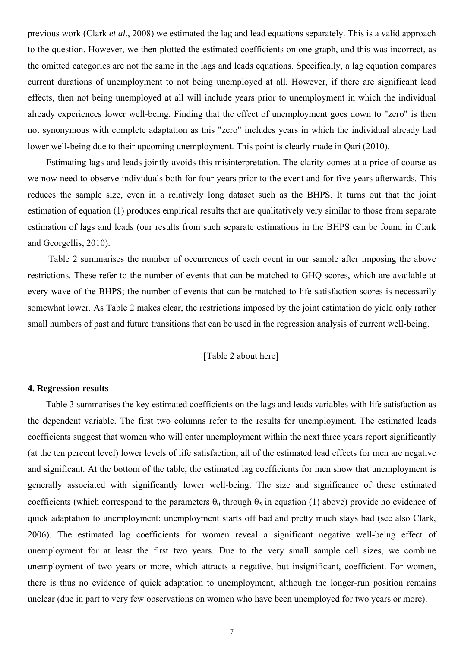previous work (Clark *et al.*, 2008) we estimated the lag and lead equations separately. This is a valid approach to the question. However, we then plotted the estimated coefficients on one graph, and this was incorrect, as the omitted categories are not the same in the lags and leads equations. Specifically, a lag equation compares current durations of unemployment to not being unemployed at all. However, if there are significant lead effects, then not being unemployed at all will include years prior to unemployment in which the individual already experiences lower well-being. Finding that the effect of unemployment goes down to "zero" is then not synonymous with complete adaptation as this "zero" includes years in which the individual already had lower well-being due to their upcoming unemployment. This point is clearly made in Qari (2010).

Estimating lags and leads jointly avoids this misinterpretation. The clarity comes at a price of course as we now need to observe individuals both for four years prior to the event and for five years afterwards. This reduces the sample size, even in a relatively long dataset such as the BHPS. It turns out that the joint estimation of equation (1) produces empirical results that are qualitatively very similar to those from separate estimation of lags and leads (our results from such separate estimations in the BHPS can be found in Clark and Georgellis, 2010).

 Table 2 summarises the number of occurrences of each event in our sample after imposing the above restrictions. These refer to the number of events that can be matched to GHQ scores, which are available at every wave of the BHPS; the number of events that can be matched to life satisfaction scores is necessarily somewhat lower. As Table 2 makes clear, the restrictions imposed by the joint estimation do yield only rather small numbers of past and future transitions that can be used in the regression analysis of current well-being.

#### [Table 2 about here]

#### **4. Regression results**

Table 3 summarises the key estimated coefficients on the lags and leads variables with life satisfaction as the dependent variable. The first two columns refer to the results for unemployment. The estimated leads coefficients suggest that women who will enter unemployment within the next three years report significantly (at the ten percent level) lower levels of life satisfaction; all of the estimated lead effects for men are negative and significant. At the bottom of the table, the estimated lag coefficients for men show that unemployment is generally associated with significantly lower well-being. The size and significance of these estimated coefficients (which correspond to the parameters  $\theta_0$  through  $\theta_5$  in equation (1) above) provide no evidence of quick adaptation to unemployment: unemployment starts off bad and pretty much stays bad (see also Clark, 2006). The estimated lag coefficients for women reveal a significant negative well-being effect of unemployment for at least the first two years. Due to the very small sample cell sizes, we combine unemployment of two years or more, which attracts a negative, but insignificant, coefficient. For women, there is thus no evidence of quick adaptation to unemployment, although the longer-run position remains unclear (due in part to very few observations on women who have been unemployed for two years or more).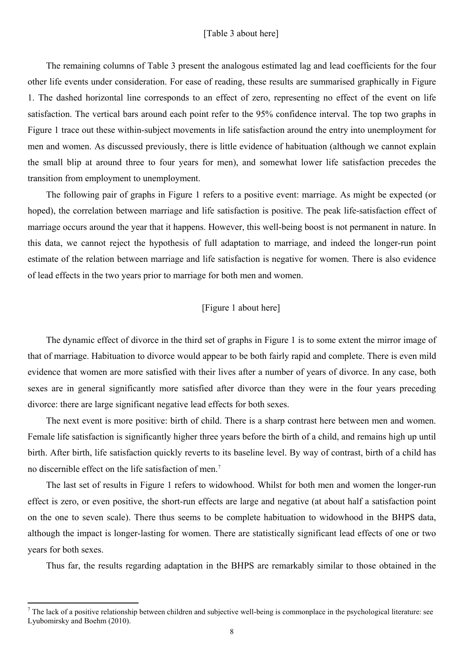#### [Table 3 about here]

The remaining columns of Table 3 present the analogous estimated lag and lead coefficients for the four other life events under consideration. For ease of reading, these results are summarised graphically in Figure 1. The dashed horizontal line corresponds to an effect of zero, representing no effect of the event on life satisfaction. The vertical bars around each point refer to the 95% confidence interval. The top two graphs in Figure 1 trace out these within-subject movements in life satisfaction around the entry into unemployment for men and women. As discussed previously, there is little evidence of habituation (although we cannot explain the small blip at around three to four years for men), and somewhat lower life satisfaction precedes the transition from employment to unemployment.

The following pair of graphs in Figure 1 refers to a positive event: marriage. As might be expected (or hoped), the correlation between marriage and life satisfaction is positive. The peak life-satisfaction effect of marriage occurs around the year that it happens. However, this well-being boost is not permanent in nature. In this data, we cannot reject the hypothesis of full adaptation to marriage, and indeed the longer-run point estimate of the relation between marriage and life satisfaction is negative for women. There is also evidence of lead effects in the two years prior to marriage for both men and women.

#### [Figure 1 about here]

The dynamic effect of divorce in the third set of graphs in Figure 1 is to some extent the mirror image of that of marriage. Habituation to divorce would appear to be both fairly rapid and complete. There is even mild evidence that women are more satisfied with their lives after a number of years of divorce. In any case, both sexes are in general significantly more satisfied after divorce than they were in the four years preceding divorce: there are large significant negative lead effects for both sexes.

The next event is more positive: birth of child. There is a sharp contrast here between men and women. Female life satisfaction is significantly higher three years before the birth of a child, and remains high up until birth. After birth, life satisfaction quickly reverts to its baseline level. By way of contrast, birth of a child has no discernible effect on the life satisfaction of men.<sup>[7](#page-8-0)</sup>

The last set of results in Figure 1 refers to widowhood. Whilst for both men and women the longer-run effect is zero, or even positive, the short-run effects are large and negative (at about half a satisfaction point on the one to seven scale). There thus seems to be complete habituation to widowhood in the BHPS data, although the impact is longer-lasting for women. There are statistically significant lead effects of one or two years for both sexes.

Thus far, the results regarding adaptation in the BHPS are remarkably similar to those obtained in the

<u>.</u>

<span id="page-8-0"></span> $<sup>7</sup>$  The lack of a positive relationship between children and subjective well-being is commonplace in the psychological literature: see</sup> Lyubomirsky and Boehm (2010).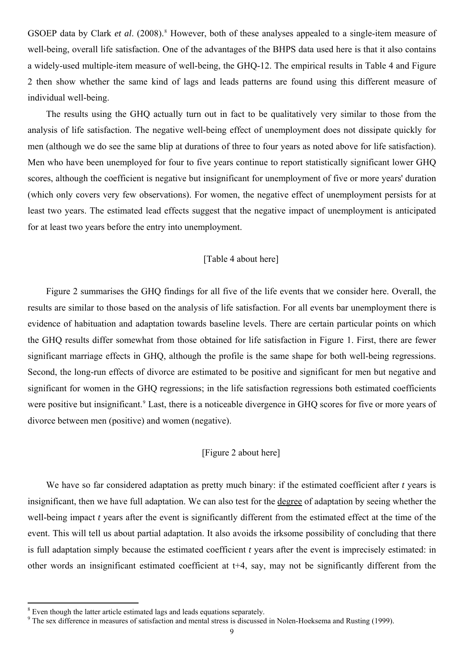GSOEP data by Clark *et al.* (200[8](#page-9-0)).<sup>8</sup> However, both of these analyses appealed to a single-item measure of well-being, overall life satisfaction. One of the advantages of the BHPS data used here is that it also contains a widely-used multiple-item measure of well-being, the GHQ-12. The empirical results in Table 4 and Figure 2 then show whether the same kind of lags and leads patterns are found using this different measure of individual well-being.

The results using the GHQ actually turn out in fact to be qualitatively very similar to those from the analysis of life satisfaction. The negative well-being effect of unemployment does not dissipate quickly for men (although we do see the same blip at durations of three to four years as noted above for life satisfaction). Men who have been unemployed for four to five years continue to report statistically significant lower GHQ scores, although the coefficient is negative but insignificant for unemployment of five or more years' duration (which only covers very few observations). For women, the negative effect of unemployment persists for at least two years. The estimated lead effects suggest that the negative impact of unemployment is anticipated for at least two years before the entry into unemployment.

#### [Table 4 about here]

Figure 2 summarises the GHQ findings for all five of the life events that we consider here. Overall, the results are similar to those based on the analysis of life satisfaction. For all events bar unemployment there is evidence of habituation and adaptation towards baseline levels. There are certain particular points on which the GHQ results differ somewhat from those obtained for life satisfaction in Figure 1. First, there are fewer significant marriage effects in GHQ, although the profile is the same shape for both well-being regressions. Second, the long-run effects of divorce are estimated to be positive and significant for men but negative and significant for women in the GHQ regressions; in the life satisfaction regressions both estimated coefficients were positive but insignificant.<sup>[9](#page-9-1)</sup> Last, there is a noticeable divergence in GHQ scores for five or more years of divorce between men (positive) and women (negative).

#### [Figure 2 about here]

We have so far considered adaptation as pretty much binary: if the estimated coefficient after *t* years is insignificant, then we have full adaptation. We can also test for the degree of adaptation by seeing whether the well-being impact *t* years after the event is significantly different from the estimated effect at the time of the event. This will tell us about partial adaptation. It also avoids the irksome possibility of concluding that there is full adaptation simply because the estimated coefficient *t* years after the event is imprecisely estimated: in other words an insignificant estimated coefficient at t+4, say, may not be significantly different from the

<u>.</u>

<span id="page-9-0"></span><sup>&</sup>lt;sup>8</sup> Even though the latter article estimated lags and leads equations separately.

<span id="page-9-1"></span><sup>&</sup>lt;sup>9</sup> The sex difference in measures of satisfaction and mental stress is discussed in Nolen-Hoeksema and Rusting (1999).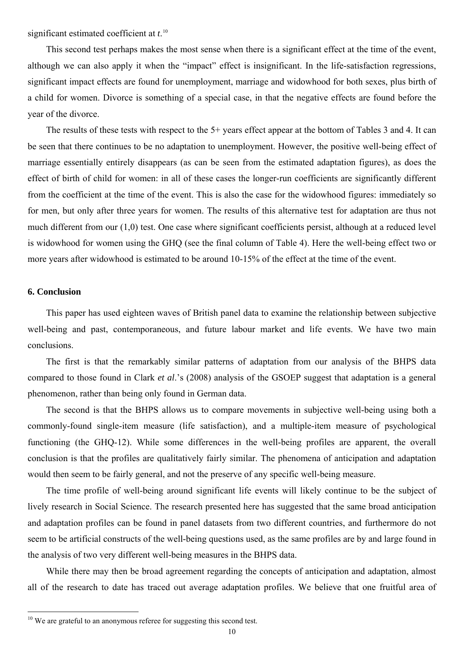significant estimated coefficient at *t*. [10](#page-10-0)

This second test perhaps makes the most sense when there is a significant effect at the time of the event, although we can also apply it when the "impact" effect is insignificant. In the life-satisfaction regressions, significant impact effects are found for unemployment, marriage and widowhood for both sexes, plus birth of a child for women. Divorce is something of a special case, in that the negative effects are found before the year of the divorce.

The results of these tests with respect to the 5+ years effect appear at the bottom of Tables 3 and 4. It can be seen that there continues to be no adaptation to unemployment. However, the positive well-being effect of marriage essentially entirely disappears (as can be seen from the estimated adaptation figures), as does the effect of birth of child for women: in all of these cases the longer-run coefficients are significantly different from the coefficient at the time of the event. This is also the case for the widowhood figures: immediately so for men, but only after three years for women. The results of this alternative test for adaptation are thus not much different from our (1,0) test. One case where significant coefficients persist, although at a reduced level is widowhood for women using the GHQ (see the final column of Table 4). Here the well-being effect two or more years after widowhood is estimated to be around 10-15% of the effect at the time of the event.

#### **6. Conclusion**

<u>.</u>

This paper has used eighteen waves of British panel data to examine the relationship between subjective well-being and past, contemporaneous, and future labour market and life events. We have two main conclusions.

The first is that the remarkably similar patterns of adaptation from our analysis of the BHPS data compared to those found in Clark *et al*.'s (2008) analysis of the GSOEP suggest that adaptation is a general phenomenon, rather than being only found in German data.

The second is that the BHPS allows us to compare movements in subjective well-being using both a commonly-found single-item measure (life satisfaction), and a multiple-item measure of psychological functioning (the GHQ-12). While some differences in the well-being profiles are apparent, the overall conclusion is that the profiles are qualitatively fairly similar. The phenomena of anticipation and adaptation would then seem to be fairly general, and not the preserve of any specific well-being measure.

The time profile of well-being around significant life events will likely continue to be the subject of lively research in Social Science. The research presented here has suggested that the same broad anticipation and adaptation profiles can be found in panel datasets from two different countries, and furthermore do not seem to be artificial constructs of the well-being questions used, as the same profiles are by and large found in the analysis of two very different well-being measures in the BHPS data.

While there may then be broad agreement regarding the concepts of anticipation and adaptation, almost all of the research to date has traced out average adaptation profiles. We believe that one fruitful area of

<span id="page-10-0"></span> $10$  We are grateful to an anonymous referee for suggesting this second test.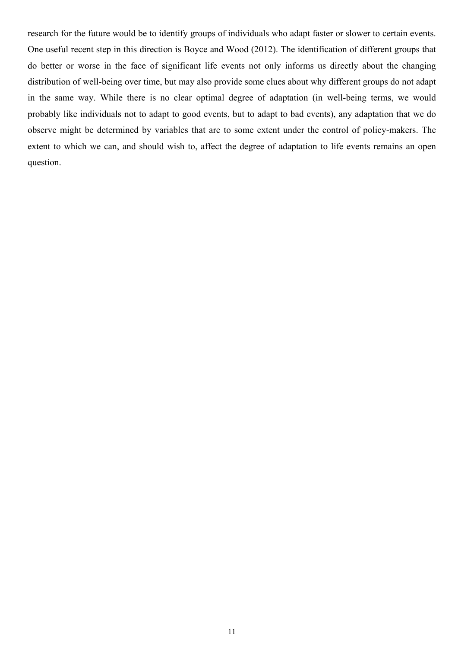research for the future would be to identify groups of individuals who adapt faster or slower to certain events. One useful recent step in this direction is Boyce and Wood (2012). The identification of different groups that do better or worse in the face of significant life events not only informs us directly about the changing distribution of well-being over time, but may also provide some clues about why different groups do not adapt in the same way. While there is no clear optimal degree of adaptation (in well-being terms, we would probably like individuals not to adapt to good events, but to adapt to bad events), any adaptation that we do observe might be determined by variables that are to some extent under the control of policy-makers. The extent to which we can, and should wish to, affect the degree of adaptation to life events remains an open question.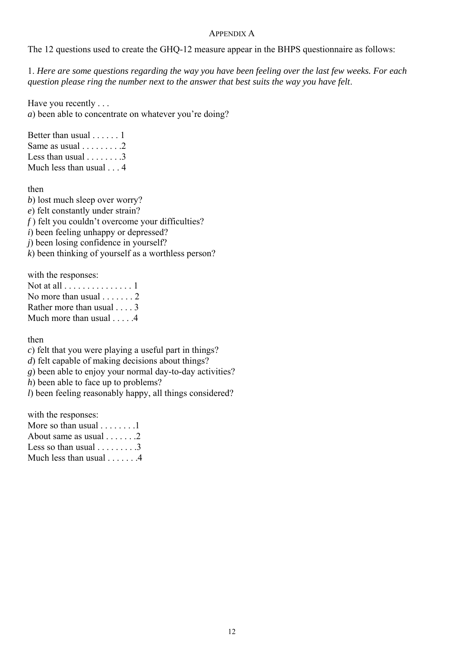#### APPENDIX A

The 12 questions used to create the GHQ-12 measure appear in the BHPS questionnaire as follows:

1. *Here are some questions regarding the way you have been feeling over the last few weeks. For each question please ring the number next to the answer that best suits the way you have felt*.

Have you recently . . . *a*) been able to concentrate on whatever you're doing?

Better than usual . . . . . . 1 Same as usual . . . . . . . . .2 Less than usual  $\ldots$ , ... .3 Much less than usual . . . 4

then

*b*) lost much sleep over worry? *e*) felt constantly under strain? *f*) felt you couldn't overcome your difficulties? *i*) been feeling unhappy or depressed? *j*) been losing confidence in yourself? *k*) been thinking of yourself as a worthless person?

with the responses:

| Not at all $\dots \dots \dots \dots \dots 1$ |
|----------------------------------------------|
| No more than usual $\ldots$ , 2              |
| Rather more than usual 3                     |
| Much more than usual $\dots$ .               |

then

*c*) felt that you were playing a useful part in things?

*d*) felt capable of making decisions about things?

*g*) been able to enjoy your normal day-to-day activities?

*h*) been able to face up to problems?

*l*) been feeling reasonably happy, all things considered?

with the responses:

| More so than usual $\dots \dots 1$  |
|-------------------------------------|
| About same as usual $\dots \dots 2$ |
| Less so than usual $\dots \dots 3$  |
| Much less than usual $\dots$ . $4$  |
|                                     |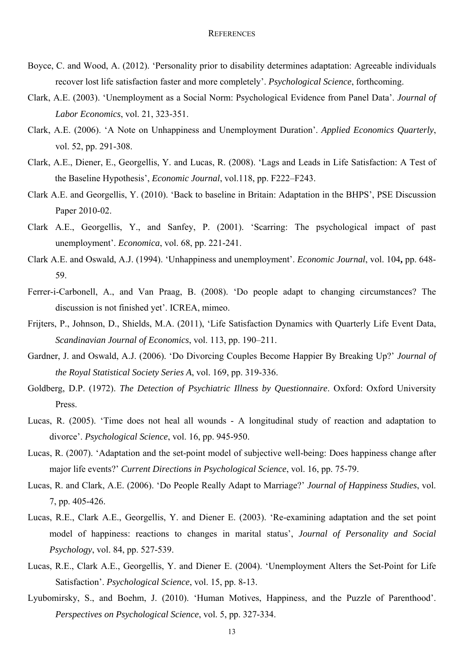- Boyce, C. and Wood, A. (2012). 'Personality prior to disability determines adaptation: Agreeable individuals recover lost life satisfaction faster and more completely'. *Psychological Science*, forthcoming.
- Clark, A.E. (2003). 'Unemployment as a Social Norm: Psychological Evidence from Panel Data'. *Journal of Labor Economics*, vol. 21, 323-351.
- Clark, A.E. (2006). 'A Note on Unhappiness and Unemployment Duration'. *Applied Economics Quarterly*, vol. 52, pp. 291-308.
- Clark, A.E., Diener, E., Georgellis, Y. and Lucas, R. (2008). 'Lags and Leads in Life Satisfaction: A Test of the Baseline Hypothesis', *Economic Journal*, vol.118, pp. F222–F243.
- Clark A.E. and Georgellis, Y. (2010). 'Back to baseline in Britain: Adaptation in the BHPS', PSE Discussion Paper 2010-02.
- Clark A.E., Georgellis, Y., and Sanfey, P. (2001). 'Scarring: The psychological impact of past unemployment'. *Economica*, vol. 68, pp. 221-241.
- Clark A.E. and Oswald, A.J. (1994). 'Unhappiness and unemployment'. *Economic Journal*, vol. 104**,** pp. 648- 59.
- Ferrer-i-Carbonell, A., and Van Praag, B. (2008). 'Do people adapt to changing circumstances? The discussion is not finished yet'. ICREA, mimeo.
- Frijters, P., Johnson, D., Shields, M.A. (2011), 'Life Satisfaction Dynamics with Quarterly Life Event Data, *Scandinavian Journal of Economics*, vol. 113, pp. 190–211.
- Gardner, J. and Oswald, A.J. (2006). 'Do Divorcing Couples Become Happier By Breaking Up?' *Journal of the Royal Statistical Society Series A*, vol. 169, pp. 319-336.
- Goldberg, D.P. (1972). *The Detection of Psychiatric Illness by Questionnaire*. Oxford: Oxford University Press.
- Lucas, R. (2005). 'Time does not heal all wounds A longitudinal study of reaction and adaptation to divorce'. *Psychological Science*, vol. 16, pp. 945-950.
- Lucas, R. (2007). 'Adaptation and the set-point model of subjective well-being: Does happiness change after major life events?' *Current Directions in Psychological Science*, vol. 16, pp. 75-79.
- Lucas, R. and Clark, A.E. (2006). 'Do People Really Adapt to Marriage?' *Journal of Happiness Studies*, vol. 7, pp. 405-426.
- Lucas, R.E., Clark A.E., Georgellis, Y. and Diener E. (2003). 'Re-examining adaptation and the set point model of happiness: reactions to changes in marital status', *Journal of Personality and Social Psychology*, vol. 84, pp. 527-539.
- Lucas, R.E., Clark A.E., Georgellis, Y. and Diener E. (2004). 'Unemployment Alters the Set-Point for Life Satisfaction'. *Psychological Science*, vol. 15, pp. 8-13.
- Lyubomirsky, S., and Boehm, J. (2010). 'Human Motives, Happiness, and the Puzzle of Parenthood'. *Perspectives on Psychological Science*, vol. 5, pp. 327-334.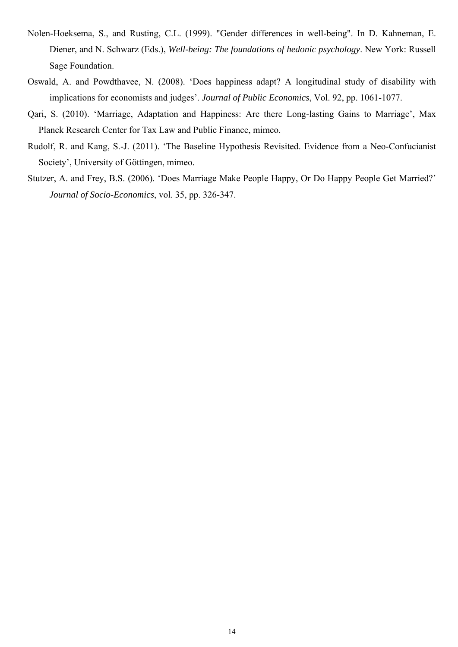- Nolen-Hoeksema, S., and Rusting, C.L. (1999). "Gender differences in well-being". In D. Kahneman, E. Diener, and N. Schwarz (Eds.), *Well-being: The foundations of hedonic psychology*. New York: Russell Sage Foundation.
- Oswald, A. and Powdthavee, N. (2008). 'Does happiness adapt? A longitudinal study of disability with implications for economists and judges'. *[Journal of Public Economics](http://www.sciencedirect.com/science/journal/00472727)*, [Vol. 92,](http://www.sciencedirect.com/science?_ob=PublicationURL&_tockey=%23TOC%235834%232008%23999079994%23683681%23FLA%23&_cdi=5834&_pubType=J&view=c&_auth=y&_acct=C000050221&_version=1&_urlVersion=0&_userid=10&md5=a493c7251a94d64d08920ffb5496732a) pp. 1061-1077.
- Qari, S. (2010). 'Marriage, Adaptation and Happiness: Are there Long-lasting Gains to Marriage', Max Planck Research Center for Tax Law and Public Finance, mimeo.
- Rudolf, R. and Kang, S.-J. (2011). 'The Baseline Hypothesis Revisited. Evidence from a Neo-Confucianist Society', University of Göttingen, mimeo.
- Stutzer, A. and Frey, B.S. (2006). 'Does Marriage Make People Happy, Or Do Happy People Get Married?' *Journal of Socio-Economics*, vol. 35, pp. 326-347.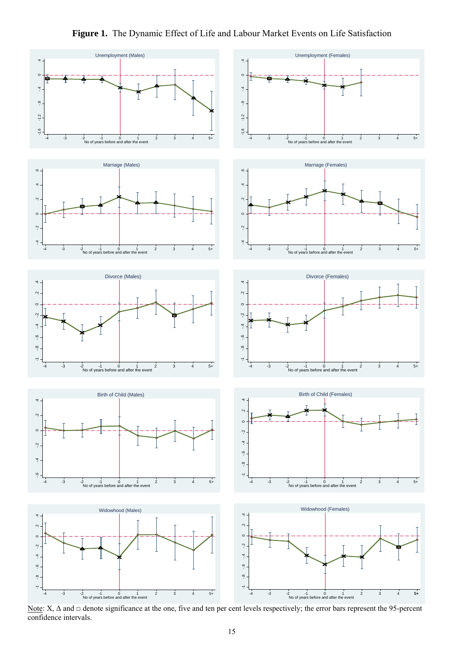



Note:  $X$ ,  $\Delta$  and  $\Box$  denote significance at the one, five and ten per cent levels respectively; the error bars represent the 95-percent confidence intervals.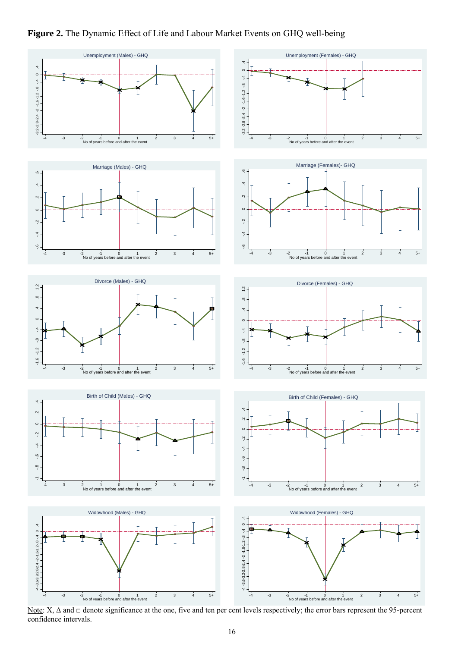



Note:  $X$ ,  $\Delta$  and  $\Box$  denote significance at the one, five and ten per cent levels respectively; the error bars represent the 95-percent confidence intervals.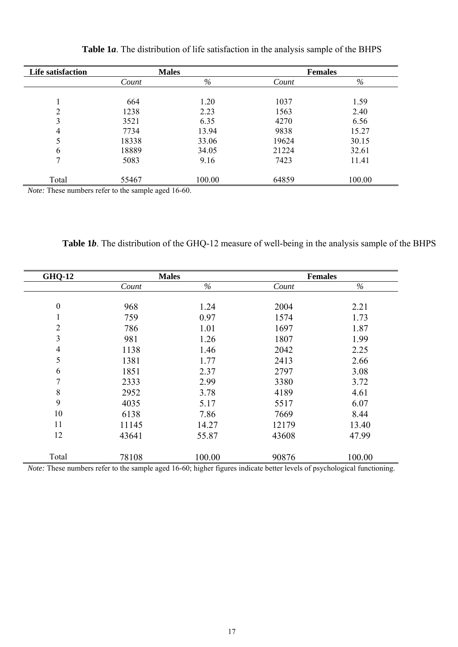| Life satisfaction | <b>Males</b> |        |       | <b>Females</b> |  |  |
|-------------------|--------------|--------|-------|----------------|--|--|
|                   | Count        | %      | Count | $\%$           |  |  |
|                   |              |        |       |                |  |  |
|                   | 664          | 1.20   | 1037  | 1.59           |  |  |
| C                 | 1238         | 2.23   | 1563  | 2.40           |  |  |
| 3                 | 3521         | 6.35   | 4270  | 6.56           |  |  |
| 4                 | 7734         | 13.94  | 9838  | 15.27          |  |  |
|                   | 18338        | 33.06  | 19624 | 30.15          |  |  |
| 6                 | 18889        | 34.05  | 21224 | 32.61          |  |  |
| 7                 | 5083         | 9.16   | 7423  | 11.41          |  |  |
|                   |              |        |       |                |  |  |
| Total             | 55467        | 100.00 | 64859 | 100.00         |  |  |

**Table 1***a*. The distribution of life satisfaction in the analysis sample of the BHPS

*Note:* These numbers refer to the sample aged 16-60.

**Table 1***b*. The distribution of the GHQ-12 measure of well-being in the analysis sample of the BHPS

| <b>GHQ-12</b>    |       | <b>Males</b> |                                  | <b>Females</b> |
|------------------|-------|--------------|----------------------------------|----------------|
|                  | Count | $\%$         | Count                            | $\%$           |
|                  |       |              |                                  |                |
| $\boldsymbol{0}$ | 968   | 1.24         | 2004                             | 2.21           |
| 1                | 759   | 0.97         | 1574                             | 1.73           |
| $\overline{2}$   | 786   | 1.01         | 1697                             | 1.87           |
| 3                | 981   | 1.26         | 1807                             | 1.99           |
| $\overline{4}$   | 1138  | 1.46         | 2042                             | 2.25           |
| 5                | 1381  | 1.77         | 2413                             | 2.66           |
| 6                | 1851  | 2.37         | 2797                             | 3.08           |
| 7                | 2333  | 2.99         | 3380                             | 3.72           |
| 8                | 2952  | 3.78         | 4189                             | 4.61           |
| 9                | 4035  | 5.17         | 5517                             | 6.07           |
| 10               | 6138  | 7.86         | 7669                             | 8.44           |
| 11               | 11145 | 14.27        | 12179                            | 13.40          |
| 12               | 43641 | 55.87        | 43608                            | 47.99          |
|                  |       |              |                                  |                |
| Total            | 78108 | 100.00       | 90876<br>$\cdot$ $\cdot$ $\cdot$ | 100.00         |

*Note:* These numbers refer to the sample aged 16-60; higher figures indicate better levels of psychological functioning.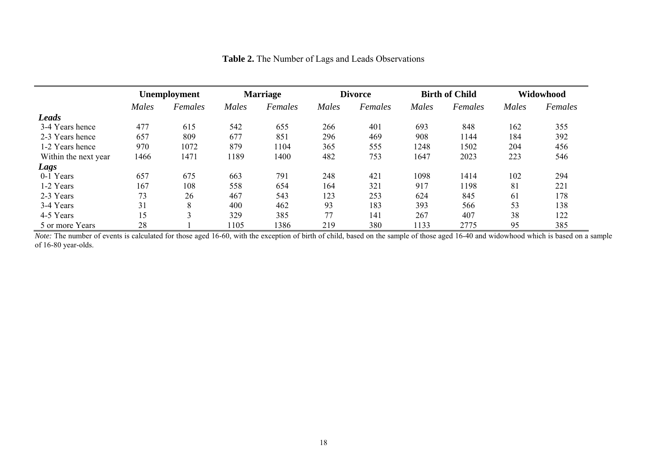|                      | Unemployment |         | <b>Marriage</b> |         | <b>Divorce</b> |         | <b>Birth of Child</b> |         | Widowhood |         |  |
|----------------------|--------------|---------|-----------------|---------|----------------|---------|-----------------------|---------|-----------|---------|--|
|                      | Males        | Females | Males           | Females | Males          | Females | Males                 | Females | Males     | Females |  |
| <b>Leads</b>         |              |         |                 |         |                |         |                       |         |           |         |  |
| 3-4 Years hence      | 477          | 615     | 542             | 655     | 266            | 401     | 693                   | 848     | 162       | 355     |  |
| 2-3 Years hence      | 657          | 809     | 677             | 851     | 296            | 469     | 908                   | 1144    | 184       | 392     |  |
| 1-2 Years hence      | 970          | 1072    | 879             | 1104    | 365            | 555     | 1248                  | 1502    | 204       | 456     |  |
| Within the next year | 1466         | 1471    | 1189            | 1400    | 482            | 753     | 1647                  | 2023    | 223       | 546     |  |
| Lags                 |              |         |                 |         |                |         |                       |         |           |         |  |
| 0-1 Years            | 657          | 675     | 663             | 791     | 248            | 421     | 1098                  | 1414    | 102       | 294     |  |
| 1-2 Years            | 167          | 108     | 558             | 654     | 164            | 321     | 917                   | 1198    | 81        | 221     |  |
| 2-3 Years            | 73           | 26      | 467             | 543     | 123            | 253     | 624                   | 845     | 61        | 178     |  |
| 3-4 Years            | 31           | 8       | 400             | 462     | 93             | 183     | 393                   | 566     | 53        | 138     |  |
| 4-5 Years            | 15           | 3       | 329             | 385     | 77             | 141     | 267                   | 407     | 38        | 122     |  |
| 5 or more Years      | 28           |         | 105             | 1386    | 219            | 380     | 1133                  | 2775    | 95        | 385     |  |

| <b>Table 2.</b> The Number of Lags and Leads Observations |  |  |  |
|-----------------------------------------------------------|--|--|--|
|-----------------------------------------------------------|--|--|--|

*Note:* The number of events is calculated for those aged 16-60, with the exception of birth of child, based on the sample of those aged 16-40 and widowhood which is based on a sample of 16-80 year-olds.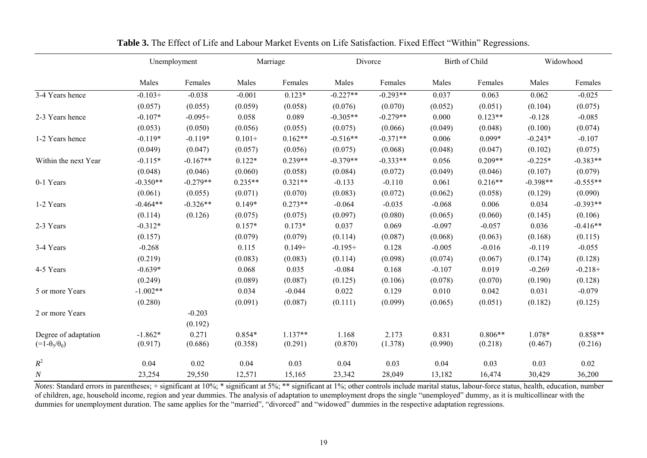|                          | Unemployment |            |           | Marriage  |            | Divorce    |          | Birth of Child |            | Widowhood  |  |
|--------------------------|--------------|------------|-----------|-----------|------------|------------|----------|----------------|------------|------------|--|
|                          | Males        | Females    | Males     | Females   | Males      | Females    | Males    | Females        | Males      | Females    |  |
| 3-4 Years hence          | $-0.103+$    | $-0.038$   | $-0.001$  | $0.123*$  | $-0.227**$ | $-0.293**$ | 0.037    | 0.063          | 0.062      | $-0.025$   |  |
|                          | (0.057)      | (0.055)    | (0.059)   | (0.058)   | (0.076)    | (0.070)    | (0.052)  | (0.051)        | (0.104)    | (0.075)    |  |
| 2-3 Years hence          | $-0.107*$    | $-0.095+$  | 0.058     | 0.089     | $-0.305**$ | $-0.279**$ | 0.000    | $0.123**$      | $-0.128$   | $-0.085$   |  |
|                          | (0.053)      | (0.050)    | (0.056)   | (0.055)   | (0.075)    | (0.066)    | (0.049)  | (0.048)        | (0.100)    | (0.074)    |  |
| 1-2 Years hence          | $-0.119*$    | $-0.119*$  | $0.101 +$ | $0.162**$ | $-0.516**$ | $-0.371**$ | 0.006    | 0.099*         | $-0.243*$  | $-0.107$   |  |
|                          | (0.049)      | (0.047)    | (0.057)   | (0.056)   | (0.075)    | (0.068)    | (0.048)  | (0.047)        | (0.102)    | (0.075)    |  |
| Within the next Year     | $-0.115*$    | $-0.167**$ | $0.122*$  | $0.239**$ | $-0.379**$ | $-0.333**$ | 0.056    | $0.209**$      | $-0.225*$  | $-0.383**$ |  |
|                          | (0.048)      | (0.046)    | (0.060)   | (0.058)   | (0.084)    | (0.072)    | (0.049)  | (0.046)        | (0.107)    | (0.079)    |  |
| 0-1 Years                | $-0.350**$   | $-0.279**$ | $0.235**$ | $0.321**$ | $-0.133$   | $-0.110$   | 0.061    | $0.216**$      | $-0.398**$ | $-0.555**$ |  |
|                          | (0.061)      | (0.055)    | (0.071)   | (0.070)   | (0.083)    | (0.072)    | (0.062)  | (0.058)        | (0.129)    | (0.090)    |  |
| 1-2 Years                | $-0.464**$   | $-0.326**$ | $0.149*$  | $0.273**$ | $-0.064$   | $-0.035$   | $-0.068$ | 0.006          | 0.034      | $-0.393**$ |  |
|                          | (0.114)      | (0.126)    | (0.075)   | (0.075)   | (0.097)    | (0.080)    | (0.065)  | (0.060)        | (0.145)    | (0.106)    |  |
| 2-3 Years                | $-0.312*$    |            | $0.157*$  | $0.173*$  | 0.037      | 0.069      | $-0.097$ | $-0.057$       | 0.036      | $-0.416**$ |  |
|                          | (0.157)      |            | (0.079)   | (0.079)   | (0.114)    | (0.087)    | (0.068)  | (0.063)        | (0.168)    | (0.115)    |  |
| 3-4 Years                | $-0.268$     |            | 0.115     | $0.149+$  | $-0.195+$  | 0.128      | $-0.005$ | $-0.016$       | $-0.119$   | $-0.055$   |  |
|                          | (0.219)      |            | (0.083)   | (0.083)   | (0.114)    | (0.098)    | (0.074)  | (0.067)        | (0.174)    | (0.128)    |  |
| 4-5 Years                | $-0.639*$    |            | 0.068     | 0.035     | $-0.084$   | 0.168      | $-0.107$ | 0.019          | $-0.269$   | $-0.218+$  |  |
|                          | (0.249)      |            | (0.089)   | (0.087)   | (0.125)    | (0.106)    | (0.078)  | (0.070)        | (0.190)    | (0.128)    |  |
| 5 or more Years          | $-1.002**$   |            | 0.034     | $-0.044$  | 0.022      | 0.129      | 0.010    | 0.042          | 0.031      | $-0.079$   |  |
|                          | (0.280)      |            | (0.091)   | (0.087)   | (0.111)    | (0.099)    | (0.065)  | (0.051)        | (0.182)    | (0.125)    |  |
| 2 or more Years          |              | $-0.203$   |           |           |            |            |          |                |            |            |  |
|                          |              | (0.192)    |           |           |            |            |          |                |            |            |  |
| Degree of adaptation     | $-1.862*$    | 0.271      | $0.854*$  | $1.137**$ | 1.168      | 2.173      | 0.831    | $0.806**$      | 1.078*     | $0.858**$  |  |
| $(=1-\theta_5/\theta_0)$ | (0.917)      | (0.686)    | (0.358)   | (0.291)   | (0.870)    | (1.378)    | (0.990)  | (0.218)        | (0.467)    | (0.216)    |  |
| $R^2$                    | 0.04         | 0.02       | 0.04      | 0.03      | 0.04       | 0.03       | 0.04     | 0.03           | 0.03       | 0.02       |  |
| $\cal N$                 | 23,254       | 29,550     | 12,571    | 15,165    | 23,342     | 28,049     | 13,182   | 16,474         | 30,429     | 36,200     |  |

**Table 3.** The Effect of Life and Labour Market Events on Life Satisfaction. Fixed Effect "Within" Regressions.

*Notes*: Standard errors in parentheses; + significant at 10%; \* significant at 5%; \*\* significant at 1%; other controls include marital status, labour-force status, health, education, number of children, age, household income, region and year dummies. The analysis of adaptation to unemployment drops the single "unemployed" dummy, as it is multicollinear with the dummies for unemployment duration. The same applies for the "married", "divorced" and "widowed" dummies in the respective adaptation regressions.